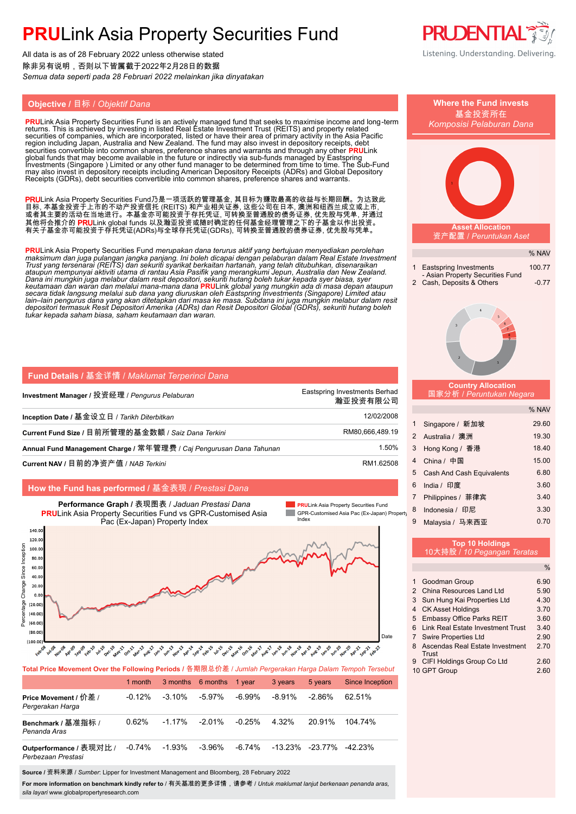All data is as of 28 February 2022 unless otherwise stated 除非另有说明,否则以下皆属截于2022年2月28日的数据 *Semua data seperti pada 28 Februari 2022 melainkan jika dinyatakan*

### **Objective / 目标 / Objektif Dana**

**PRU**Link Asia Property Securities Fund is an actively managed fund that seeks to maximise income and long-term<br>returns. This is achieved by investing in listed Real Estate Investment Trust (REITS) and property related<br>sec securities convertible into common shares, preference shares and warrants and through any other **PRU**Link<br>global funds that may become available in the future or indirectly via sub-funds managed by Eastspring<br>Investments ( Receipts (GDRs), debt securities convertible into common shares, preference shares and warrants.

PRULink Asia Property Securities Fund乃是一项活跃的管理基金, 其目标为赚取最高的收益与长期回酬。为达致此 目标, 本基金投资于上市的不动产投资信托 (REITS) 和产业相关证券, 这些公司在日本, 澳洲和纽西兰成立或上市, 或者其主要的活动在当地进行。本基金亦可能投资于存托凭证, 可转换至普通股的债务证券, 优先股与凭单, 并通过 其他将会推介的 **PRU**Link global funds 以及瀚亚投资或随时确定的任何基金经理管理之下的子基金以作出投资。 有关子基金亦可能投资于存托凭证(ADRs)与全球存托凭证(GDRs), 可转换至普通股的债券证券, 优先股与凭单。

<mark>PRU</mark>Link Asia Property Securities Fund *merupakan dana terurus aktif yang bertujuan menyediakan perolehan*<br>maksimum dan juga pulangan jangka panjang. Ini boleh dicapai dengan pelaburan dalam Real Estate Investment<br>Trust y ataupun mempunyai aktiviti utama di rantau Asia Pasifik yang merangkumi Jepun, Australia dan New Zealand.<br>Dana ini mungkin juga melabur dalam resit depositori, sekuriti hutang boleh tukar kepada syer biasa, syer<br>keutamaan *depositori termasuk Resit Depositori Amerika (ADRs) dan Resit Depositori Global (GDRs), sekuriti hutang boleh tukar kepada saham biasa, saham keutamaan dan waran.*

| <b>Fund Details / 基金详情 / Maklumat Terperinci Dana</b>               |                                           |
|---------------------------------------------------------------------|-------------------------------------------|
| Investment Manager / 投资经理 / <i>Penqurus Pelaburan</i>               | Eastspring Investments Berhad<br>瀚亚投资有限公司 |
| Inception Date / 基金设立日 / <i>Tarikh Diterbitkan</i>                  | 12/02/2008                                |
| Current Fund Size / 目前所管理的基金数额 / Saiz Dana Terkini                  | RM80,666,489.19                           |
| Annual Fund Management Charge / 常年管理费 / Cai Pengurusan Dana Tahunan | 1.50%                                     |
| Current NAV / 目前的净资产值 / NAB Terkini                                 | RM1.62508                                 |

### **How the Fund has performed /** 基金表现 / *Prestasi Dana*



**Total Price Movement Over the Following Periods /** 各期限总价差 / *Jumlah Pergerakan Harga Dalam Tempoh Tersebut*

|                                               | 1 month   |           | 3 months 6 months 1 year |           | 3 years         | 5 years   | <b>Since Inception</b> |
|-----------------------------------------------|-----------|-----------|--------------------------|-----------|-----------------|-----------|------------------------|
| Price Movement / 价差 /<br>Pergerakan Harga     | $-0.12\%$ | $-3.10\%$ | $-5.97\%$                | -6.99%    | -8.91%          | $-2.86\%$ | 62.51%                 |
| Benchmark / 基准指标 /<br>Penanda Aras            | 0.62%     | $-1.17%$  | $-2.01\%$                | $-0.25\%$ | 4.32%           | 20.91%    | 104 74%                |
| Outperformance / 表现对比 /<br>Perbezaan Prestasi | $-0.74\%$ | -1.93%    | -3.96%                   | -6.74%    | -13.23% -23.77% |           | -42.23%                |

**Source /** 资料来源 / *Sumber*: Lipper for Investment Management and Bloomberg, 28 February 2022

**For more information on benchmark kindly refer to** / 有关基准的更多详情,请参考 / *Untuk maklumat lanjut berkenaan penanda aras, sila layari* www.globalpropertyresearch.com



|      |                     | <b>Where the Fund invests</b><br>基金投资所在<br>Komposisi Pelaburan Dana                          |                   |
|------|---------------------|----------------------------------------------------------------------------------------------|-------------------|
|      |                     |                                                                                              |                   |
|      |                     | <b>Asset Allocation</b><br>资产配置 / Peruntukan Aset                                            |                   |
|      |                     |                                                                                              | % NAV             |
|      | 1<br>$\overline{2}$ | <b>Eastspring Investments</b><br>- Asian Property Securities Fund<br>Cash, Deposits & Others | 100.77<br>$-0.77$ |
|      |                     | 3<br>$\overline{2}$                                                                          |                   |
|      |                     | <b>Country Allocation</b><br>国家分析 / Peruntukan Negara                                        |                   |
|      |                     |                                                                                              | % NAV             |
|      | 1                   | Singapore / 新加坡                                                                              | 29.60             |
|      | 2                   | Australia / 澳洲                                                                               | 19.30             |
|      | 3                   | Hong Kong / 香港                                                                               | 18.40             |
|      | 4                   | China / 中国                                                                                   | 15.00             |
|      | 5                   | <b>Cash And Cash Equivalents</b>                                                             | 6.80              |
|      | 6                   | India / 印度                                                                                   | 3.60              |
|      | $\overline{7}$      | Philippines / 菲律宾                                                                            | 3.40              |
| erty | 8                   | Indonesia / 印尼                                                                               | 3.30              |
|      | 9                   | Malaysia / 马来西亚                                                                              | 0.70              |
|      |                     | <b>Top 10 Holdings</b><br>10大持股 / 10 Pegangan Teratas                                        |                   |
|      |                     |                                                                                              | $\%$              |
|      | 1                   | Goodman Group                                                                                | 6.90              |
|      | $\overline{2}$      | China Resources Land Ltd                                                                     | 5.90              |
|      | 3                   | Sun Hung Kai Properties Ltd                                                                  | 4.30              |
|      | 4                   | <b>CK Asset Holdings</b>                                                                     | 3.70              |
|      | 5<br>6              | <b>Embassy Office Parks REIT</b><br><b>Link Real Estate Investment Trust</b>                 | 3.60<br>3.40      |
|      | $\overline{7}$      | <b>Swire Properties Ltd</b>                                                                  | 2.90              |
|      | 8                   | Ascendas Real Estate Investment                                                              | 270               |

Trust

9 CIFI Holdings Group Co Ltd 2.60 10 GPT Group 2.60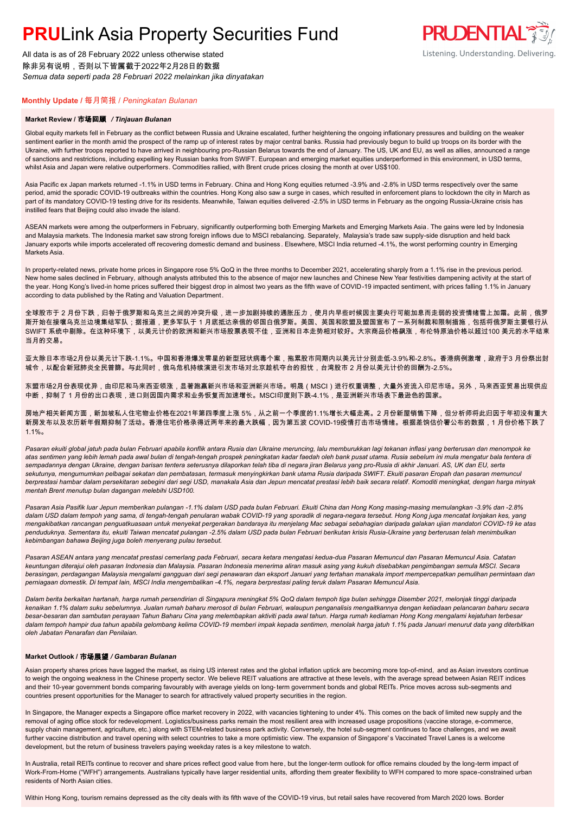All data is as of 28 February 2022 unless otherwise stated 除非另有说明,否则以下皆属截于2022年2月28日的数据 *Semua data seperti pada 28 Februari 2022 melainkan jika dinyatakan*

### **PRUDENTIAL** Listening. Understanding. Delivering.

#### **Monthly Update /** 每月简报 / *Peningkatan Bulanan*

#### **Market Review /** 市场回顾 */ Tinjauan Bulanan*

Global equity markets fell in February as the conflict between Russia and Ukraine escalated, further heightening the ongoing inflationary pressures and building on the weaker sentiment earlier in the month amid the prospect of the ramp up of interest rates by major central banks. Russia had previously begun to build up troops on its border with the Ukraine, with further troops reported to have arrived in neighbouring pro-Russian Belarus towards the end of January. The US, UK and EU, as well as allies, announced a range of sanctions and restrictions, including expelling key Russian banks from SWIFT. European and emerging market equities underperformed in this environment, in USD terms, whilst Asia and Japan were relative outperformers. Commodities rallied, with Brent crude prices closing the month at over US\$100.

Asia Pacific ex Japan markets returned -1.1% in USD terms in February. China and Hong Kong equities returned -3.9% and -2.8% in USD terms respectively over the same period, amid the sporadic COVID-19 outbreaks within the countries. Hong Kong also saw a surge in cases, which resulted in enforcement plans to lockdown the city in March as part of its mandatory COVID-19 testing drive for its residents. Meanwhile, Taiwan equities delivered -2.5% in USD terms in February as the ongoing Russia-Ukraine crisis has instilled fears that Beijing could also invade the island.

ASEAN markets were among the outperformers in February, significantly outperforming both Emerging Markets and Emerging Markets Asia. The gains were led by Indonesia and Malaysia markets. The Indonesia market saw strong foreign inflows due to MSCI rebalancing. Separately, Malaysia's trade saw supply-side disruption and held back January exports while imports accelerated off recovering domestic demand and business . Elsewhere, MSCI India returned -4.1%, the worst performing country in Emerging Markets Asia.

In property-related news, private home prices in Singapore rose 5% QoQ in the three months to December 2021, accelerating sharply from a 1.1% rise in the previous period. New home sales declined in February, although analysts attributed this to the absence of major new launches and Chinese New Year festivities dampening activity at the start of the year. Hong Kong's lived-in home prices suffered their biggest drop in almost two years as the fifth wave of COVID-19 impacted sentiment, with prices falling 1.1% in January according to data published by the Rating and Valuation Department.

全球股市于 2 月份下跌,归咎于俄罗斯和乌克兰之间的冲突升级,进一步加剧持续的通胀压力,使月内早些时候因主要央行可能加息而走弱的投资情绪雪上加霜。此前,俄罗 斯开始在接壤乌克兰边境集结军队;据报道,更多军队于 1 月底抵达亲俄的邻国白俄罗斯。美国、英国和欧盟及盟国宣布了一系列制裁和限制措施,包括将俄罗斯主要银行从 SWIFT 系统中剔除。在这种环境下,以美元计价的欧洲和新兴市场股票表现不佳,亚洲和日本走势相对较好。大宗商品价格飙涨,布伦特原油价格以超过100 美元的水平结束 当月的交易。

亚太除日本市场2月份以美元计下跌-1.1%。中国和香港爆发零星的新型冠状病毒个案,拖累股市同期内以美元计分别走低-3.9%和-2.8%。香港病例激增,政府于3 月份祭出封 城令,以配合新冠肺炎全民普篩。与此同时,俄乌危机持续演进引发市场对北京趁机夺台的担忧,台湾股市 2 月份以美元计价的回酬为-2.5%。

东盟市场2月份表现优异,由印尼和马来西亚领涨,显著跑赢新兴市场和亚洲新兴市场。明晟(MSCI)进行权重调整,大量外资流入印尼市场。另外,马来西亚贸易出现供应 中断,抑制了 1 月份的出口表现,进口则因国内需求和业务恢复而加速增长。MSCI印度则下跌-4.1%,是亚洲新兴市场表下最逊色的国家。

房地产相关新闻方面,新加坡私人住宅物业价格在2021年第四季度上涨 5%,从之前一个季度的1.1%增长大幅走高。2 月份新屋销售下降,但分析师将此归因于年初没有重大 新房发布以及农历新年假期抑制了活动。香港住宅价格录得近两年来的最大跌幅,因为第五波 COVID-19疫情打击市场情绪。根据差饷估价署公布的数据,1 月份价格下跌了 1.1%。

*Pasaran ekuiti global jatuh pada bulan Februari apabila konflik antara Rusia dan Ukraine meruncing, lalu memburukkan lagi tekanan inflasi yang berterusan dan menompok ke atas sentimen yang lebih lemah pada awal bulan di tengah-tengah prospek peningkatan kadar faedah oleh bank pusat utama. Rusia sebelum ini mula mengatur bala tentera di sempadannya dengan Ukraine, dengan barisan tentera seterusnya dilaporkan telah tiba di negara jiran Belarus yang pro-Rusia di akhir Januari. AS, UK dan EU, serta sekutunya, mengumumkan pelbagai sekatan dan pembatasan, termasuk menyingkirkan bank utama Rusia daripada SWIFT. Ekuiti pasaran Eropah dan pasaran memuncul berprestasi hambar dalam persekitaran sebegini dari segi USD, manakala Asia dan Jepun mencatat prestasi lebih baik secara relatif. Komoditi meningkat, dengan harga minyak mentah Brent menutup bulan dagangan melebihi USD100.*

*Pasaran Asia Pasifik luar Jepun memberikan pulangan -1.1% dalam USD pada bulan Februari. Ekuiti China dan Hong Kong masing-masing memulangkan -3.9% dan -2.8% dalam USD dalam tempoh yang sama, di tengah-tengah penularan wabak COVID-19 yang sporadik di negara-negara tersebut. Hong Kong juga mencatat lonjakan kes, yang mengakibatkan rancangan penguatkuasaan untuk menyekat pergerakan bandaraya itu menjelang Mac sebagai sebahagian daripada galakan ujian mandatori COVID-19 ke atas penduduknya. Sementara itu, ekuiti Taiwan mencatat pulangan -2.5% dalam USD pada bulan Februari berikutan krisis Rusia-Ukraine yang berterusan telah menimbulkan kebimbangan bahawa Beijing juga boleh menyerang pulau tersebut.*

*Pasaran ASEAN antara yang mencatat prestasi cemerlang pada Februari, secara ketara mengatasi kedua-dua Pasaran Memuncul dan Pasaran Memuncul Asia. Catatan keuntungan diterajui oleh pasaran Indonesia dan Malaysia. Pasaran Indonesia menerima aliran masuk asing yang kukuh disebabkan pengimbangan semula MSCI. Secara berasingan, perdagangan Malaysia mengalami gangguan dari segi penawaran dan eksport Januari yang tertahan manakala import mempercepatkan pemulihan permintaan dan perniagaan domestik. Di tempat lain, MSCI India mengembalikan -4.1%, negara berprestasi paling teruk dalam Pasaran Memuncul Asia.*

*Dalam berita berkaitan hartanah, harga rumah persendirian di Singapura meningkat 5% QoQ dalam tempoh tiga bulan sehingga Disember 2021, melonjak tinggi daripada kenaikan 1.1% dalam suku sebelumnya. Jualan rumah baharu merosot di bulan Februari, walaupun penganalisis mengaitkannya dengan ketiadaan pelancaran baharu secara besar-besaran dan sambutan perayaan Tahun Baharu Cina yang melembapkan aktiviti pada awal tahun. Harga rumah kediaman Hong Kong mengalami kejatuhan terbesar dalam tempoh hampir dua tahun apabila gelombang kelima COVID-19 memberi impak kepada sentimen, menolak harga jatuh 1.1% pada Januari menurut data yang diterbitkan oleh Jabatan Penarafan dan Penilaian.*

#### **Market Outlook /** 市场展望 */ Gambaran Bulanan*

Asian property shares prices have lagged the market, as rising US interest rates and the global inflation uptick are becoming more top-of-mind, and as Asian investors continue to weigh the ongoing weakness in the Chinese property sector. We believe REIT valuations are attractive at these levels, with the average spread between Asian REIT indices and their 10-year government bonds comparing favourably with average yields on long- term government bonds and global REITs. Price moves across sub-segments and countries present opportunities for the Manager to search for attractively valued property securities in the region.

In Singapore, the Manager expects a Singapore office market recovery in 2022, with vacancies tightening to under 4%. This comes on the back of limited new supply and the removal of aging office stock for redevelopment. Logistics/business parks remain the most resilient area with increased usage propositions (vaccine storage, e-commerce, supply chain management, agriculture, etc.) along with STEM-related business park activity. Conversely, the hotel sub-segment continues to face challenges, and we await further vaccine distribution and travel opening with select countries to take a more optimistic view. The expansion of Singapore's Vaccinated Travel Lanes is a welcome development, but the return of business travelers paying weekday rates is a key milestone to watch.

In Australia, retail REITs continue to recover and share prices reflect good value from here, but the longer-term outlook for office remains clouded by the long-term impact of Work-From-Home ("WFH") arrangements. Australians typically have larger residential units, affording them greater flexibility to WFH compared to more space-constrained urban residents of North Asian cities.

Within Hong Kong, tourism remains depressed as the city deals with its fifth wave of the COVID-19 virus, but retail sales have recovered from March 2020 lows. Border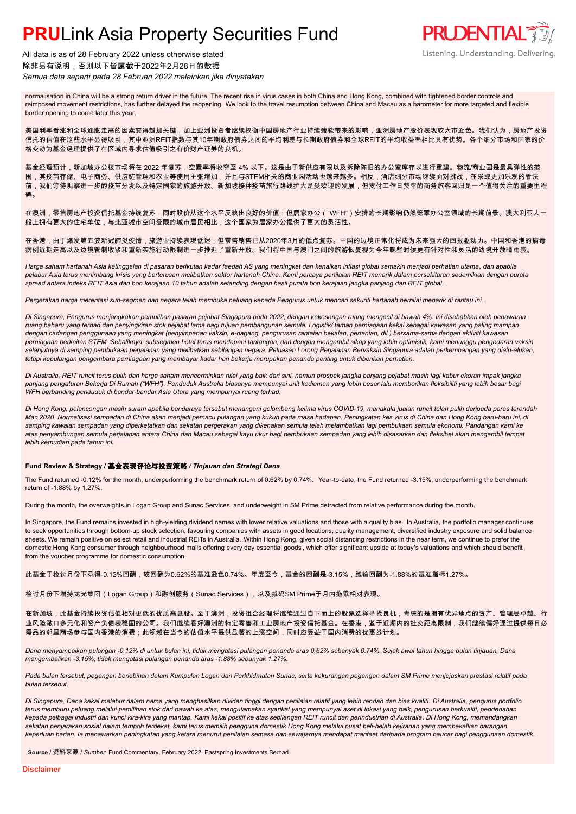All data is as of 28 February 2022 unless otherwise stated 除非另有说明,否则以下皆属截于2022年2月28日的数据 *Semua data seperti pada 28 Februari 2022 melainkan jika dinyatakan*



normalisation in China will be a strong return driver in the future. The recent rise in virus cases in both China and Hong Kong, combined with tightened border controls and reimposed movement restrictions, has further delayed the reopening. We look to the travel resumption between China and Macau as a barometer for more targeted and flexible border opening to come later this year.

美国利率看涨和全球通胀走高的因素变得越加关键,加上亚洲投资者继续权衡中国房地产行业持续疲软带来的影响,亚洲房地产股价表现较大市逊色。我们认为,房地产投资 信托的估值在这些水平显得吸引,其中亚洲REIT指数与其10年期政府债券之间的平均利差与长期政府债券和全球REIT的平均收益率相比具有优势。各个细分市场和国家的价 格变动为基金经理提供了在区域内寻求估值吸引之有价财产证券的良机。

基金经理预计,新加坡办公楼市场将在 2022 年复苏,空置率将收窄至 4% 以下。这是由于新供应有限以及拆除陈旧的办公室库存以进行重建。物流/商业园是最具弹性的范 围,其疫苗存储、电子商务、供应链管理和农业等使用主张增加,并且与STEM相关的商业园活动也越来越多。相反,酒店细分市场继续面对挑战,在采取更加乐观的看法 前,我们等待观察进一步的疫苗分发以及特定国家的旅游开放。新加坡接种疫苗旅行路线扩大是受欢迎的发展,但支付工作日费率的商务旅客回归是一个值得关注的重要里程 碑。

在澳洲,零售房地产投资信托基金持续复苏,同时股价从这个水平反映出良好的价值;但居家办公("WFH")安排的长期影响仍然笼罩办公室领域的长期前景。澳大利亚人一 般上拥有更大的住宅单位,与北亚城市空间受限的城市居民相比,这个国家为居家办公提供了更大的灵活性。

在香港,由于爆发第五波新冠肺炎疫情,旅游业持续表现低迷,但零售销售已从2020年3月的低点复苏。中国的边境正常化将成为未来强大的回报驱动力。中国和香港的病毒 病例近期走高以及边境管制收紧和重新实施行动限制进一步推迟了重新开放。我们将中国与澳门之间的旅游恢复视为今年晚些时候更有针对性和灵活的边境开放晴雨表。

*Harga saham hartanah Asia ketinggalan di pasaran berikutan kadar faedah AS yang meningkat dan kenaikan inflasi global semakin menjadi perhatian utama, dan apabila pelabur Asia terus menimbang krisis yang berterusan melibatkan sektor hartanah China. Kami percaya penilaian REIT menarik dalam persekitaran sedemikian dengan purata spread antara indeks REIT Asia dan bon kerajaan 10 tahun adalah setanding dengan hasil purata bon kerajaan jangka panjang dan REIT global.*

*Pergerakan harga merentasi sub-segmen dan negara telah membuka peluang kepada Pengurus untuk mencari sekuriti hartanah bernilai menarik di rantau ini.*

*Di Singapura, Pengurus menjangkakan pemulihan pasaran pejabat Singapura pada 2022, dengan kekosongan ruang mengecil di bawah 4%. Ini disebabkan oleh penawaran ruang baharu yang terhad dan penyingkiran stok pejabat lama bagi tujuan pembangunan semula. Logistik/ taman perniagaan kekal sebagai kawasan yang paling mampan dengan cadangan penggunaan yang meningkat (penyimpanan vaksin, e-dagang, pengurusan rantaian bekalan, pertanian, dll.) bersama-sama dengan aktiviti kawasan perniagaan berkaitan STEM. Sebaliknya, subsegmen hotel terus mendepani tantangan, dan dengan mengambil sikap yang lebih optimistik, kami menunggu pengedaran vaksin selanjutnya di samping pembukaan perjalanan yang melibatkan sebilangan negara. Peluasan Lorong Perjalanan Bervaksin Singapura adalah perkembangan yang dialu-alukan, tetapi kepulangan pengembara perniagaan yang membayar kadar hari bekerja merupakan penanda penting untuk diberikan perhatian.*

*Di Australia, REIT runcit terus pulih dan harga saham mencerminkan nilai yang baik dari sini, namun prospek jangka panjang pejabat masih lagi kabur ekoran impak jangka panjang pengaturan Bekerja Di Rumah ("WFH"). Penduduk Australia biasanya mempunyai unit kediaman yang lebih besar lalu memberikan fleksibiliti yang lebih besar bagi WFH berbanding penduduk di bandar-bandar Asia Utara yang mempunyai ruang terhad.*

*Di Hong Kong, pelancongan masih suram apabila bandaraya tersebut menangani gelombang kelima virus COVID-19, manakala jualan runcit telah pulih daripada paras terendah Mac 2020. Normalisasi sempadan di China akan menjadi pemacu pulangan yang kukuh pada masa hadapan. Peningkatan kes virus di China dan Hong Kong baru-baru ini, di samping kawalan sempadan yang diperketatkan dan sekatan pergerakan yang dikenakan semula telah melambatkan lagi pembukaan semula ekonomi. Pandangan kami ke atas penyambungan semula perjalanan antara China dan Macau sebagai kayu ukur bagi pembukaan sempadan yang lebih disasarkan dan fleksibel akan mengambil tempat lebih kemudian pada tahun ini.*

#### **Fund Review & Strategy /** 基金表现评论与投资策略 */ Tinjauan dan Strategi Dana*

The Fund returned -0.12% for the month, underperforming the benchmark return of 0.62% by 0.74%. Year-to-date, the Fund returned -3.15%, underperforming the benchmark return of -1.88% by 1.27%.

During the month, the overweights in Logan Group and Sunac Services, and underweight in SM Prime detracted from relative performance during the month.

In Singapore, the Fund remains invested in high-yielding dividend names with lower relative valuations and those with a quality bias. In Australia, the portfolio manager continues to seek opportunities through bottom-up stock selection, favouring companies with assets in good locations, quality management, diversified industry exposure and solid balance sheets. We remain positive on select retail and industrial REITs in Australia. Within Hong Kong, given social distancing restrictions in the near term, we continue to prefer the domestic Hong Kong consumer through neighbourhood malls offering every day essential goods , which offer significant upside at today's valuations and which should benefit from the voucher programme for domestic consumption.

此基金于检讨月份下录得-0.12%回酬,较回酬为0.62%的基准逊色0.74%。年度至今,基金的回酬是-3.15%,跑输回酬为-1.88%的基准指标1.27%。

检讨月份下增持龙光集团(Logan Group)和融创服务(Sunac Services),以及减码SM Prime于月内拖累相对表现。

在新加坡,此基金持续投资估值相对更低的优质高息股。至于澳洲,投资组合经理将继续通过自下而上的股票选择寻找良机,青睐的是拥有优异地点的资产、管理层卓越、行 业风险敞口多元化和资产负债表稳固的公司。我们继续看好澳洲的特定零售和工业房地产投资信托基金。在香港,鉴于近期内的社交距离限制,我们继续偏好通过提供每日必 需品的邻里商场参与国内香港的消费;此领域在当今的估值水平提供显著的上涨空间,同时应受益于国内消费的优惠券计划。

*Dana menyampaikan pulangan -0.12% di untuk bulan ini, tidak mengatasi pulangan penanda aras 0.62% sebanyak 0.74%. Sejak awal tahun hingga bulan tinjauan, Dana mengembalikan -3.15%, tidak mengatasi pulangan penanda aras -1.88% sebanyak 1.27%.*

*Pada bulan tersebut, pegangan berlebihan dalam Kumpulan Logan dan Perkhidmatan Sunac, serta kekurangan pegangan dalam SM Prime menjejaskan prestasi relatif pada bulan tersebut.*

*Di Singapura, Dana kekal melabur dalam nama yang menghasilkan dividen tinggi dengan penilaian relatif yang lebih rendah dan bias kualiti. Di Australia, pengurus portfolio terus memburu peluang melalui pemilihan stok dari bawah ke atas, mengutamakan syarikat yang mempunyai aset di lokasi yang baik, pengurusan berkualiti, pendedahan kepada pelbagai industri dan kunci kira-kira yang mantap. Kami kekal positif ke atas sebilangan REIT runcit dan perindustrian di Australia. Di Hong Kong, memandangkan sekatan penjarakan sosial dalam tempoh terdekat, kami terus memilih pengguna domestik Hong Kong melalui pusat beli-belah kejiranan yang membekalkan barangan keperluan harian. Ia menawarkan peningkatan yang ketara menurut penilaian semasa dan sewajarnya mendapat manfaat daripada program baucar bagi penggunaan domestik.*

**Source /** 资料来源 / *Sumber*: Fund Commentary, February 2022, Eastspring Investments Berhad